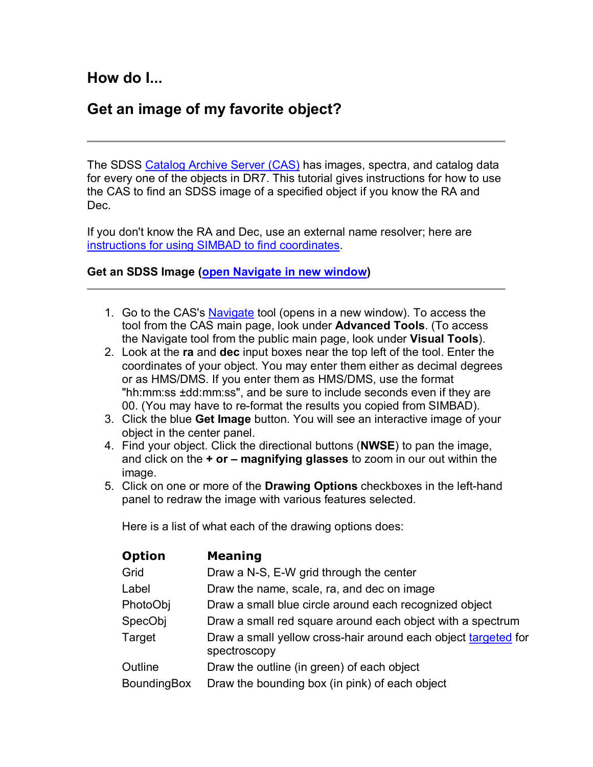## **Get an image of my favorite object?**

The SDSS Catalog Archive Server (CAS) has images, spectra, and catalog data for every one of the objects in DR7. This tutorial gives instructions for how to use the CAS to find an SDSS image of a specified object if you know the RA and Dec.

If you don't know the RA and Dec, use an external name resolver; here are instructions for using SIMBAD to find coordinates.

## **Get an SDSS Image (open Navigate in new window)**

- 1. Go to the CAS's Navigate tool (opens in a new window). To access the tool from the CAS main page, look under **Advanced Tools**. (To access the Navigate tool from the public main page, look under **Visual Tools**).
- 2. Look at the **ra** and **dec** input boxes near the top left of the tool. Enter the coordinates of your object. You may enter them either as decimal degrees or as HMS/DMS. If you enter them as HMS/DMS, use the format "hh:mm:ss ±dd:mm:ss", and be sure to include seconds even if they are 00. (You may have to re-format the results you copied from SIMBAD).
- 3. Click the blue **Get Image** button. You will see an interactive image of your object in the center panel.
- 4. Find your object. Click the directional buttons (**NWSE**) to pan the image, and click on the **+ or – magnifying glasses** to zoom in our out within the image.
- 5. Click on one or more of the **Drawing Options** checkboxes in the lefthand panel to redraw the image with various features selected.

Here is a list of what each of the drawing options does:

| <b>Meaning</b>                                                                 |
|--------------------------------------------------------------------------------|
| Draw a N-S, E-W grid through the center                                        |
| Draw the name, scale, ra, and dec on image                                     |
| Draw a small blue circle around each recognized object                         |
| Draw a small red square around each object with a spectrum                     |
| Draw a small yellow cross-hair around each object targeted for<br>spectroscopy |
| Draw the outline (in green) of each object                                     |
| Draw the bounding box (in pink) of each object                                 |
|                                                                                |